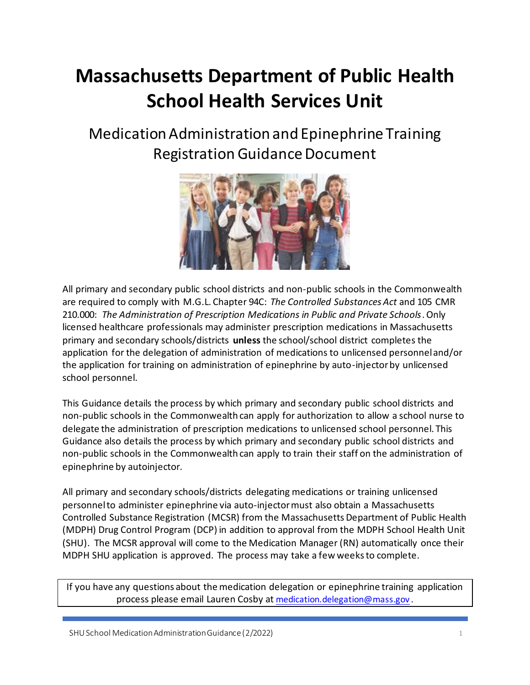# **Massachusetts Department of Public Health School Health Services Unit**

Medication Administration and Epinephrine Training Registration Guidance Document



All primary and secondary public school districts and non-public schools in the Commonwealth are required to comply with M.G.L. Chapter 94C: *The Controlled Substances Act* and 105 CMR 210.000: *The Administration of Prescription Medications in Public and Private Schools*. Only licensed healthcare professionals may administer prescription medications in Massachusetts primary and secondary schools/districts **unless** the school/school district completes the application for the delegation of administration of medications to unlicensed personnel and/or the application for training on administration of epinephrine by auto-injector by unlicensed school personnel.

This Guidance details the process by which primary and secondary public school districts and non-public schools in the Commonwealth can apply for authorization to allow a school nurse to delegate the administration of prescription medications to unlicensed school personnel. This Guidance also details the process by which primary and secondary public school districts and non-public schools in the Commonwealth can apply to train their staff on the administration of epinephrine by autoinjector.

All primary and secondary schools/districts delegating medications or training unlicensed personnel to administer epinephrine via auto-injector must also obtain a Massachusetts Controlled Substance Registration (MCSR) from the Massachusetts Department of Public Health (MDPH) Drug Control Program (DCP) in addition to approval from the MDPH School Health Unit (SHU). The MCSR approval will come to the Medication Manager (RN) automatically once their MDPH SHU application is approved. The process may take a few weeks to complete.

If you have any questions about the medication delegation or epinephrine training application process please email Lauren Cosby at [medication.delegation@mass.gov](mailto:medication.delegation@mass.gov) .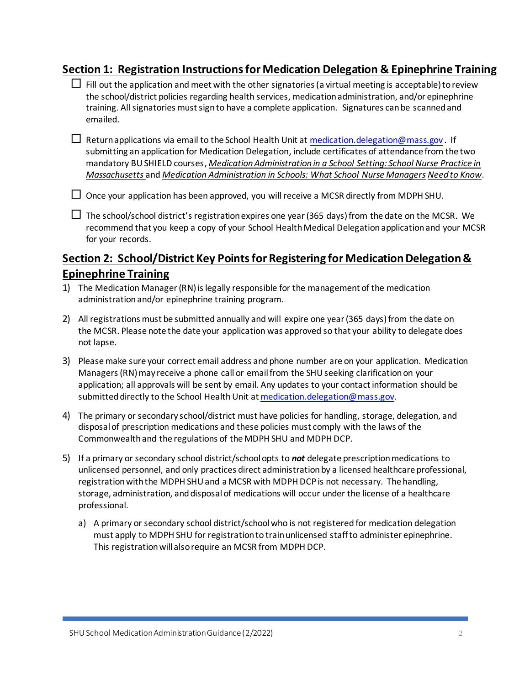### **Section 1: Registration Instructions for Medication Delegation & Epinephrine Training**

- $\Box$  Fill out the application and meet with the other signatories (a virtual meeting is acceptable) to review the school/district policies regarding health services, medication administration, and/or epinephrine training. All signatories must sign to have a complete application. Signatures can be scanned and emailed.
- $\Box$  Return applications via email to the School Health Unit at medication. delegation@mass.gov. If submitting an application for Medication Delegation, include certificates of attendance from the two mandatory BU SHIELD courses, *Medication Administration in a School Setting: School Nurse Practice in Massachusetts* and *Medication Administration in Schools: What School Nurse Managers Need to Know*.
- $\Box$  Once your application has been approved, you will receive a MCSR directly from MDPH SHU.
- $\Box$  The school/school district's registration expires one year (365 days) from the date on the MCSR. We recommend that you keep a copy of your School Health Medical Delegation application and your MCSR for your records.

## **Section 2: School/District Key Pointsfor Registering for Medication Delegation & Epinephrine Training**

- 1) The Medication Manager(RN)is legally responsible for the management of the medication administration and/or epinephrine training program.
- 2) All registrations must be submitted annually and will expire one year (365 days) from the date on the MCSR. Please note the date your application was approved so that your ability to delegate does not lapse.
- 3) Please make sure your correct email address and phone number are on your application. Medication Managers(RN)may receive a phone call or email from the SHU seeking clarification on your application; all approvals will be sent by email. Any updates to your contact information should be submitted directly to the School Health Unit a[t medication.delegation@mass.gov](mailto:medication.delegation@mass.gov).
- 4) The primary or secondary school/district must have policies for handling, storage, delegation, and disposal of prescription medications and these policies must comply with the laws of the Commonwealth and the regulations of the MDPH SHU and MDPH DCP.
- 5) If a primary or secondary school district/school opts to *not* delegate prescription medications to unlicensed personnel, and only practices direct administration by a licensed healthcare professional, registration with the MDPH SHU and a MCSR with MDPH DCP is not necessary. The handling, storage, administration, and disposal of medications will occur under the license of a healthcare professional.
	- a) A primary or secondary school district/school who is not registered for medication delegation must apply to MDPH SHU for registration to train unlicensed staff to administer epinephrine. This registration will also require an MCSR from MDPH DCP.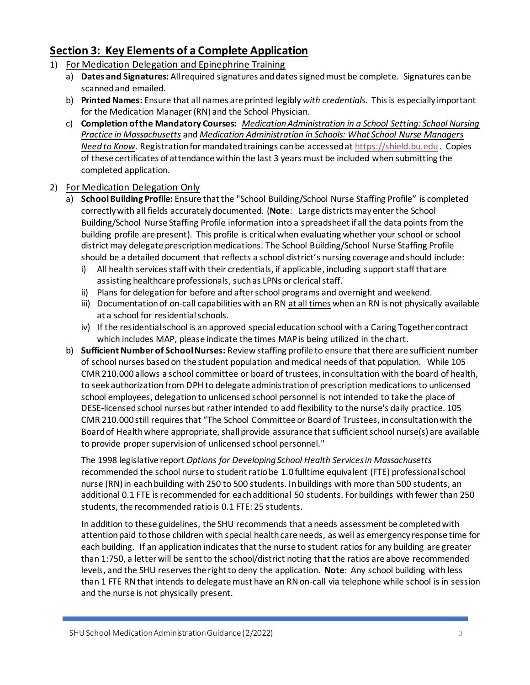## **Section 3: Key Elements of a Complete Application**

- 1) For Medication Delegation and Epinephrine Training
	- a) **Dates and Signatures:** All required signatures and dates signed must be complete. Signatures can be scanned and emailed.
	- b) **Printed Names:** Ensure that all names are printed legibly *with credentials*. This is especially important for the Medication Manager(RN) and the School Physician.
	- c) **Completion of the Mandatory Courses:** *[Medication Administration in a School Setting: School Nursing](http://bucme.org/node/1167)  [Practice in Massachusetts](http://bucme.org/node/1167)* and *[Medication Administration in Schools: What School Nurse Managers](http://bucme.org/node/1168)  [Need to Know](http://bucme.org/node/1168)*. Registration for mandated trainings can be accessed at [https://shield.bu.edu](https://urldefense.com/v3/__https:/shield.bu.edu__;!!CUhgQOZqV7M!zD8nlepUxrkrI_NqZGJ02eVmphh183rhTsm9ngzRBOGzE4IEyaoxuMJ9M0xrbZIR5Imz1a8UAuoUJJZzPg$) . Copies of these certificates of attendance within the last 3 years must be included when submitting the completed application.

#### 2) For Medication Delegation Only

- a) **School Building Profile:** Ensure that the "School Building/School Nurse Staffing Profile" is completed correctly with all fields accurately documented. (**Note**: Large districts may enter the School Building/School Nurse Staffing Profile information into a spreadsheet if all the data points from the building profile are present). This profile is critical when evaluating whether your school or school district may delegate prescription medications. The School Building/School Nurse Staffing Profile should be a detailed document that reflects a school district's nursing coverage and should include:
	- i) All health services staff with their credentials, if applicable, including support staff that are assisting healthcare professionals, such as LPNs or clerical staff.
	- ii) Plans for delegation for before and after school programs and overnight and weekend.
	- iii) Documentation of on-call capabilities with an RN at all times when an RN is not physically available at a school for residential schools.
	- iv) If the residential school is an approved special education school with a Caring Together contract which includes MAP, please indicate the times MAP is being utilized in the chart.
- b) **Sufficient Number of School Nurses:** Review staffing profile to ensure that there are sufficient number of school nurses based on the student population and medical needs of that population. While 105 CMR 210.000 allows a school committee or board of trustees, in consultation with the board of health, to seek authorization from DPH to delegate administration of prescription medications to unlicensed school employees, delegation to unlicensed school personnel is not intended to take the place of DESE-licensed school nurses but rather intended to add flexibility to the nurse's daily practice. 105 CMR 210.000 still requires that "The School Committee or Board of Trustees, in consultation with the Board of Health where appropriate, shall provide assurance that sufficient school nurse(s) are available to provide proper supervision of unlicensed school personnel."

The 1998 legislative report *Options for Developing School Health Services in Massachusetts* recommended the school nurse to student ratio be 1.0 fulltime equivalent (FTE) professional school nurse (RN) in each building with 250 to 500 students. In buildings with more than 500 students, an additional 0.1 FTE is recommended for each additional 50 students. For buildings with fewer than 250 students, the recommended ratio is 0.1 FTE: 25 students.

In addition to these guidelines, the SHU recommends that a needs assessment be completed with attention paid to those children with special health care needs, as well as emergency response time for each building. If an application indicates that the nurse to student ratios for any building are greater than 1:750, a letter will be sent to the school/district noting that the ratios are above recommended levels, and the SHU reserves the right to deny the application. **Note**: Any school building with less than 1 FTE RN that intends to delegate must have an RN on-call via telephone while school is in session and the nurse is not physically present.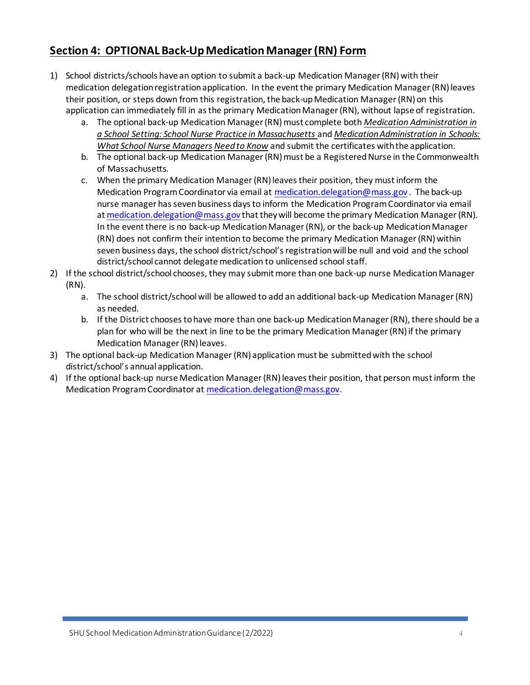## **Section 4: OPTIONAL Back-Up MedicationManager(RN) Form**

- 1) School districts/schools have an option to submit a back-up Medication Manager (RN) with their medication delegation registration application. In the event the primary Medication Manager (RN) leaves their position, or steps down from this registration, the back-up Medication Manager (RN) on this application can immediately fill in as the primary Medication Manager (RN), without lapse of registration.
	- a. The optional back-up Medication Manager (RN) must complete both *Medication Administration in a School Setting: School Nurse Practice in Massachusetts* and *Medication Administration in Schools: What School Nurse Managers Need to Know* and submit the certificates with the application.
	- b. The optional back-up Medication Manager (RN) must be a Registered Nurse in the Commonwealth of Massachusetts.
	- c. When the primary Medication Manager(RN)leaves their position, they must inform the Medication Program Coordinator via email a[t medication.delegation@mass.gov](mailto:medication.delegation@mass.gov) . The back-up nurse manager has sevenbusiness days to inform the Medication Program Coordinator via email a[t medication.delegation@mass.gov](mailto:medication.delegation@mass.gov) that they will become the primary Medication Manager (RN). In the event there is no back-up Medication Manager (RN), or the back-up Medication Manager (RN) does not confirm their intention to become the primary Medication Manager (RN) within seven business days, the school district/school's registration will be null and void and the school district/school cannot delegate medication to unlicensed school staff.
- 2) If the school district/school chooses, they may submit more than one back-up nurse Medication Manager (RN).
	- a. The school district/school will be allowed to add an additional back-up Medication Manager(RN) as needed.
	- b. If the District chooses to have more than one back-up Medication Manager(RN), there should be a plan for who will be the next in line to be the primary Medication Manager(RN)if the primary Medication Manager (RN) leaves.
- 3) The optional back-up Medication Manager (RN) application must be submitted with the school district/school's annual application.
- 4) If the optional back-up nurse Medication Manager (RN) leaves their position, that person must inform the Medication Program Coordinator a[t medication.delegation@mass.gov](mailto:medication.delegation@mass.gov).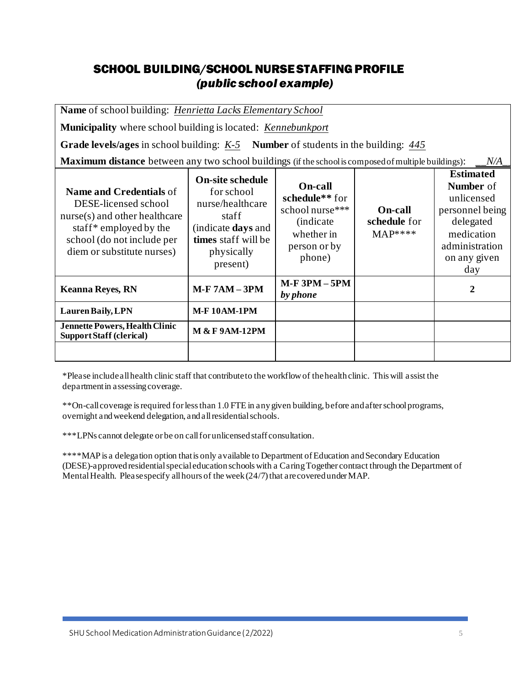# SCHOOL BUILDING/SCHOOL NURSE STAFFING PROFILE *(public school example)*

**Name** of school building: *Henrietta Lacks Elementary School*

**Municipality** where school building is located: *Kennebunkport*

**Grade levels/ages** in school building: *K-5* **Number** of students in the building: *445*

**Maximum distance** between any two school buildings (if the school is composed of multiple buildings): \_*\_N/A* 

| <b>Name and Credentials of</b><br>DESE-licensed school<br>nurse(s) and other healthcare<br>staff <sup>*</sup> employed by the<br>school (do not include per<br>diem or substitute nurses) | <b>On-site schedule</b><br>for school<br>nurse/healthcare<br>staff<br>(indicate <b>days</b> and<br>times staff will be<br>physically<br>present) | <b>On-call</b><br>schedule <sup>**</sup> for<br>school nurse***<br><i>(indicate)</i><br>whether in<br>person or by<br>phone) | <b>On-call</b><br>schedule for<br>$MAP***$ | <b>Estimated</b><br><b>Number</b> of<br>unlicensed<br>personnel being<br>delegated<br>medication<br>administration<br>on any given<br>day |
|-------------------------------------------------------------------------------------------------------------------------------------------------------------------------------------------|--------------------------------------------------------------------------------------------------------------------------------------------------|------------------------------------------------------------------------------------------------------------------------------|--------------------------------------------|-------------------------------------------------------------------------------------------------------------------------------------------|
| <b>Keanna Reyes, RN</b>                                                                                                                                                                   | <b>M-F 7AM - 3PM</b>                                                                                                                             | $M-F3PM-5PM$<br>by phone                                                                                                     |                                            | $\mathbf{2}$                                                                                                                              |
| Lauren Baily, LPN                                                                                                                                                                         | <b>M-F10AM-1PM</b>                                                                                                                               |                                                                                                                              |                                            |                                                                                                                                           |
| <b>Jennette Powers, Health Clinic</b><br><b>Support Staff (clerical)</b>                                                                                                                  | <b>M &amp; F 9AM-12PM</b>                                                                                                                        |                                                                                                                              |                                            |                                                                                                                                           |
|                                                                                                                                                                                           |                                                                                                                                                  |                                                                                                                              |                                            |                                                                                                                                           |

\*Please include all health clinic staff that contribute to the workflow of the health clinic. This will assist the department in assessing coverage.

\*\*On-call coverage is required for less than 1.0 FTE in any given building, before and after school programs, overnight and weekend delegation, and all residential schools.

\*\*\*LPNs cannot delegate or be on call for unlicensed staff consultation.

\*\*\*\*MAP is a delegation option that is only available to Department of Education and Secondary Education (DESE)-approved residential special education schools with a Caring Together contract through the Department of Mental Health. Please specify all hours of the week (24/7) that are covered under MAP.